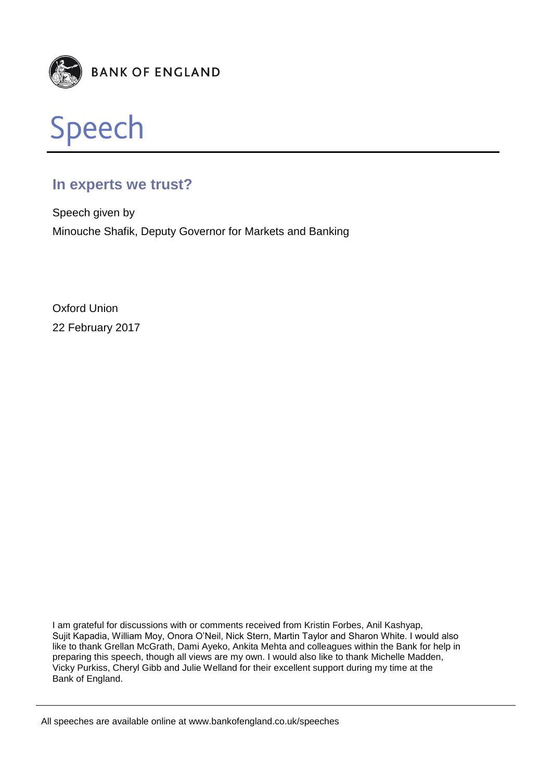



# **In experts we trust?**

Speech given by Minouche Shafik, Deputy Governor for Markets and Banking

Oxford Union 22 February 2017

I am grateful for discussions with or comments received from Kristin Forbes, Anil Kashyap, Sujit Kapadia, William Moy, Onora O'Neil, Nick Stern, Martin Taylor and Sharon White. I would also like to thank Grellan McGrath, Dami Ayeko, Ankita Mehta and colleagues within the Bank for help in preparing this speech, though all views are my own. I would also like to thank Michelle Madden, Vicky Purkiss, Cheryl Gibb and Julie Welland for their excellent support during my time at the Bank of England.

All speeches are available online at www.bankofengland.co.uk/speeches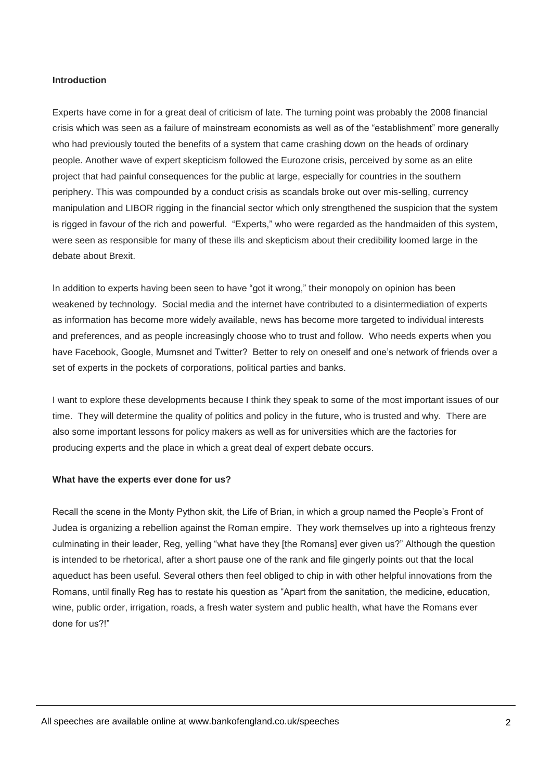#### **Introduction**

Experts have come in for a great deal of criticism of late. The turning point was probably the 2008 financial crisis which was seen as a failure of mainstream economists as well as of the "establishment" more generally who had previously touted the benefits of a system that came crashing down on the heads of ordinary people. Another wave of expert skepticism followed the Eurozone crisis, perceived by some as an elite project that had painful consequences for the public at large, especially for countries in the southern periphery. This was compounded by a conduct crisis as scandals broke out over mis-selling, currency manipulation and LIBOR rigging in the financial sector which only strengthened the suspicion that the system is rigged in favour of the rich and powerful. "Experts," who were regarded as the handmaiden of this system, were seen as responsible for many of these ills and skepticism about their credibility loomed large in the debate about Brexit.

In addition to experts having been seen to have "got it wrong," their monopoly on opinion has been weakened by technology. Social media and the internet have contributed to a disintermediation of experts as information has become more widely available, news has become more targeted to individual interests and preferences, and as people increasingly choose who to trust and follow. Who needs experts when you have Facebook, Google, Mumsnet and Twitter? Better to rely on oneself and one's network of friends over a set of experts in the pockets of corporations, political parties and banks.

I want to explore these developments because I think they speak to some of the most important issues of our time. They will determine the quality of politics and policy in the future, who is trusted and why. There are also some important lessons for policy makers as well as for universities which are the factories for producing experts and the place in which a great deal of expert debate occurs.

#### **What have the experts ever done for us?**

Recall the scene in the Monty Python skit, the Life of Brian, in which a group named the People's Front of Judea is organizing a rebellion against the Roman empire. They work themselves up into a righteous frenzy culminating in their leader, Reg, yelling "what have they [the Romans] ever given us?" Although the question is intended to be rhetorical, after a short pause one of the rank and file gingerly points out that the local aqueduct has been useful. Several others then feel obliged to chip in with other helpful innovations from the Romans, until finally Reg has to restate his question as "Apart from the sanitation, the medicine, education, wine, public order, irrigation, roads, a fresh water system and public health, what have the Romans ever done for us?!"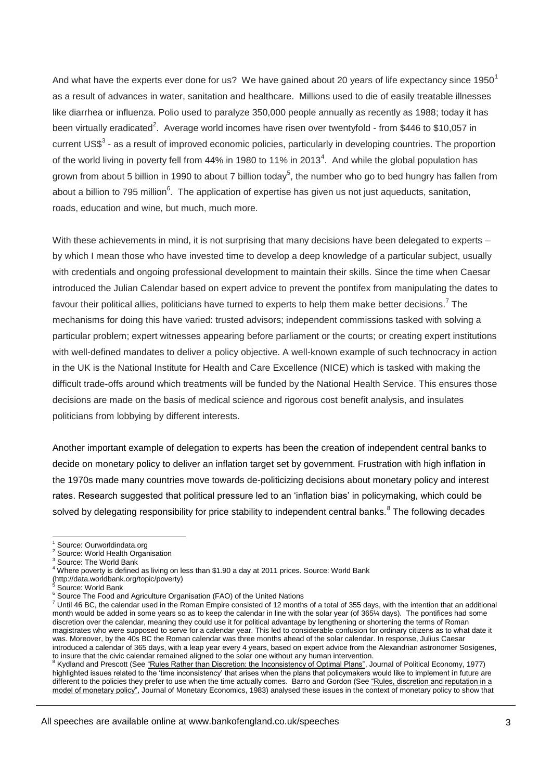And what have the experts ever done for us? We have gained about 20 years of life expectancy since 1950<sup>1</sup> as a result of advances in water, sanitation and healthcare. Millions used to die of easily treatable illnesses like diarrhea or influenza. Polio used to paralyze 350,000 people annually as recently as 1988; today it has been virtually eradicated<sup>2</sup>. Average world incomes have risen over twentyfold - from \$446 to \$10,057 in current US\$<sup>3</sup> - as a result of improved economic policies, particularly in developing countries. The proportion of the world living in poverty fell from 44% in 1980 to 11% in 2013<sup>4</sup>. And while the global population has grown from about 5 billion in 1990 to about 7 billion today<sup>5</sup>, the number who go to bed hungry has fallen from about a billion to 795 million<sup>6</sup>. The application of expertise has given us not just aqueducts, sanitation, roads, education and wine, but much, much more.

With these achievements in mind, it is not surprising that many decisions have been delegated to experts – by which I mean those who have invested time to develop a deep knowledge of a particular subject, usually with credentials and ongoing professional development to maintain their skills. Since the time when Caesar introduced the Julian Calendar based on expert advice to prevent the pontifex from manipulating the dates to favour their political allies, politicians have turned to experts to help them make better decisions.<sup>7</sup> The mechanisms for doing this have varied: trusted advisors; independent commissions tasked with solving a particular problem; expert witnesses appearing before parliament or the courts; or creating expert institutions with well-defined mandates to deliver a policy objective. A well-known example of such technocracy in action in the UK is the National Institute for Health and Care Excellence (NICE) which is tasked with making the difficult trade-offs around which treatments will be funded by the National Health Service. This ensures those decisions are made on the basis of medical science and rigorous cost benefit analysis, and insulates politicians from lobbying by different interests.

Another important example of delegation to experts has been the creation of independent central banks to decide on monetary policy to deliver an inflation target set by government. Frustration with high inflation in the 1970s made many countries move towards de-politicizing decisions about monetary policy and interest rates. Research suggested that political pressure led to an 'inflation bias' in policymaking, which could be solved by delegating responsibility for price stability to independent central banks.<sup>8</sup> The following decades

-

highlighted issues related to the 'time inconsistency' that arises when the plans that policymakers would like to implement in future are different to the policies they prefer to use when the time actually comes. Barro and Gordon (See "Rules, discretion and reputation in a model of monetary policy", Journal of Monetary Economics, 1983) analysed these issues in the context of monetary policy to show that

Source: Ourworldindata.org

<sup>&</sup>lt;sup>2</sup> Source: World Health Organisation

Source: The World Bank

<sup>&</sup>lt;sup>4</sup> Where poverty is defined as living on less than \$1.90 a day at 2011 prices. Source: World Bank

<sup>(</sup>http://data.worldbank.org/topic/poverty)

<sup>5</sup> Source: World Bank

<sup>6</sup> Source The Food and Agriculture Organisation (FAO) of the United Nations

<sup>7</sup> Until 46 BC, the calendar used in the Roman Empire consisted of 12 months of a total of 355 days, with the intention that an additional month would be added in some years so as to keep the calendar in line with the solar year (of 365¼ days). The pontifices had some discretion over the calendar, meaning they could use it for political advantage by lengthening or shortening the terms of Roman magistrates who were supposed to serve for a calendar year. This led to considerable confusion for ordinary citizens as to what date it was. Moreover, by the 40s BC the Roman calendar was three months ahead of the solar calendar. In response, Julius Caesar introduced a calendar of 365 days, with a leap year every 4 years, based on expert advice from the Alexandrian astronomer Sosigenes, to insure that the civic calendar remained aligned to the solar one without any human intervention.<br><sup>8</sup> Kydland and Prescott (See <u>"Rules Rather than Discretion: the Inconsistency of Optimal Plans"</u>, Journal of Political E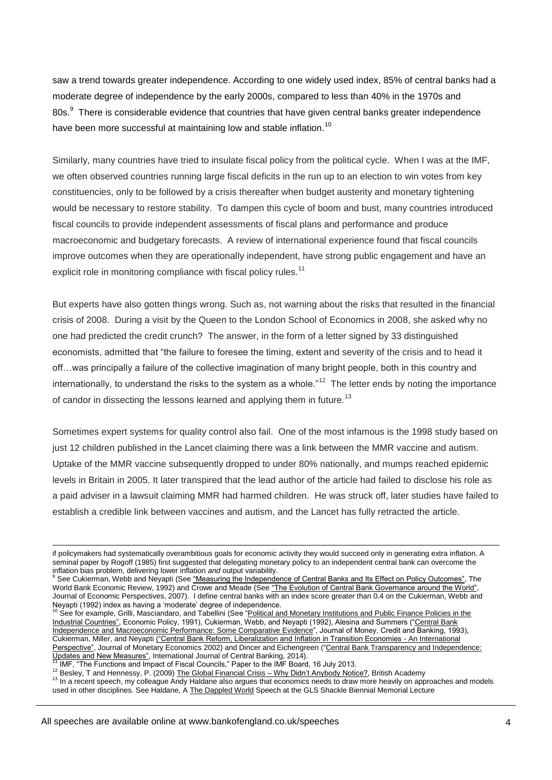saw a trend towards greater independence. According to one widely used index, 85% of central banks had a moderate degree of independence by the early 2000s, compared to less than 40% in the 1970s and 80s.<sup>9</sup> There is considerable evidence that countries that have given central banks greater independence have been more successful at maintaining low and stable inflation.<sup>10</sup>

Similarly, many countries have tried to insulate fiscal policy from the political cycle. When I was at the IMF, we often observed countries running large fiscal deficits in the run up to an election to win votes from key constituencies, only to be followed by a crisis thereafter when budget austerity and monetary tightening would be necessary to restore stability. To dampen this cycle of boom and bust, many countries introduced fiscal councils to provide independent assessments of fiscal plans and performance and produce macroeconomic and budgetary forecasts. A review of international experience found that fiscal councils improve outcomes when they are operationally independent, have strong public engagement and have an explicit role in monitoring compliance with fiscal policy rules.<sup>11</sup>

But experts have also gotten things wrong. Such as, not warning about the risks that resulted in the financial crisis of 2008. During a visit by the Queen to the London School of Economics in 2008, she asked why no one had predicted the credit crunch? The answer, in the form of a letter signed by 33 distinguished economists, admitted that "the failure to foresee the timing, extent and severity of the crisis and to head it off…was principally a failure of the collective imagination of many bright people, both in this country and internationally, to understand the risks to the system as a whole."<sup>12</sup> The letter ends by noting the importance of candor in dissecting the lessons learned and applying them in future.<sup>13</sup>

Sometimes expert systems for quality control also fail. One of the most infamous is the 1998 study based on just 12 children published in the Lancet claiming there was a link between the MMR vaccine and autism. Uptake of the MMR vaccine subsequently dropped to under 80% nationally, and mumps reached epidemic levels in Britain in 2005. It later transpired that the lead author of the article had failed to disclose his role as a paid adviser in a lawsuit claiming MMR had harmed children. He was struck off, later studies have failed to establish a credible link between vaccines and autism, and the Lancet has fully retracted the article.

if policymakers had systematically overambitious goals for economic activity they would succeed only in generating extra inflation. A seminal paper by Rogoff (1985) first suggested that delegating monetary policy to an independent central bank can overcome the inflation bias problem, delivering lower inflation *and* output variability.

See Cukierman, Webb and Neyapti (See "Measuring the Independence of Central Banks and Its Effect on Policy Outcomes", The World Bank Economic Review, 1992) and Crowe and Meade (See "The Evolution of Central Bank Governance around the World", Journal of Economic Perspectives, 2007). I define central banks with an index score greater than 0.4 on the Cukierman, Webb and

Neyapti (1992) index as having a 'moderate' degree of independence.<br><sup>10</sup> See for example, Grilli, Masciandaro, and Tabellini (See "Political and Monetary Institutions and Public Finance Policies in the Industrial Countries", Economic Policy, 1991), Cukierman, Webb, and Neyapti (1992), Alesina and Summers ("Central Bank Independence and Macroeconomic Performance: Some Comparative Evidence", Journal of Money, Credit and Banking, 1993), Cukierman, Miller, and Neyapti ("Central Bank Reform, Liberalization and Inflation in Transition Economies - An International Perspective", Journal of Monetary Economics 2002) and Dincer and Eichengreen ("Central Bank Transparency and Independence: Updates and New Measures", International Journal of Central Banking, 2014).<br><sup>11</sup> IMF, "The Functions and Impact of Fiscal Councils," Paper to the IMF Board, 16 July 2013.

<sup>12</sup> Besley, T and Hennessy, P. (2009) The Global Financial Crisis – Why Didn't Anybody Notice?, British Academy

<sup>&</sup>lt;sup>13</sup> In a recent speech, my colleague Andy Haldane also argues that economics needs to draw more heavily on approaches and models used in other disciplines. See Haldane, A The Dappled World Speech at the GLS Shackle Biennial Memorial Lecture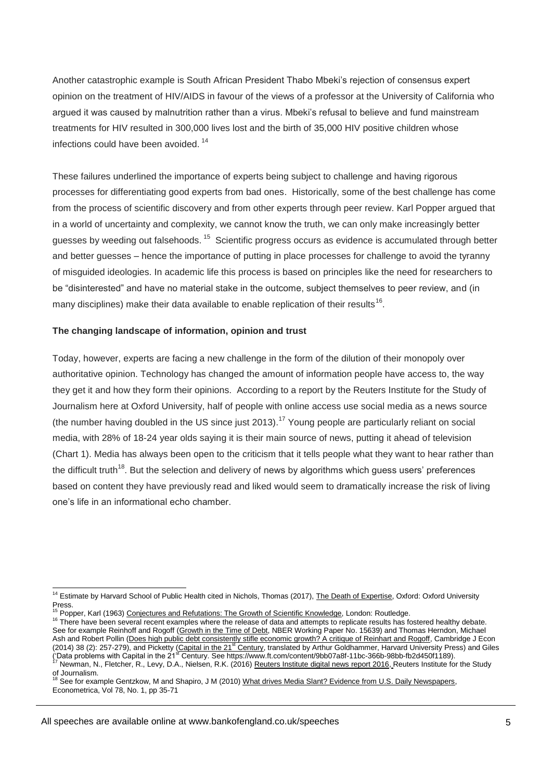Another catastrophic example is South African President Thabo Mbeki's rejection of consensus expert opinion on the treatment of HIV/AIDS in favour of the views of a professor at the University of California who argued it was caused by malnutrition rather than a virus. Mbeki's refusal to believe and fund mainstream treatments for HIV resulted in 300,000 lives lost and the birth of 35,000 HIV positive children whose infections could have been avoided. <sup>14</sup>

These failures underlined the importance of experts being subject to challenge and having rigorous processes for differentiating good experts from bad ones. Historically, some of the best challenge has come from the process of scientific discovery and from other experts through peer review. Karl Popper argued that in a world of uncertainty and complexity, we cannot know the truth, we can only make increasingly better guesses by weeding out falsehoods. <sup>15</sup> Scientific progress occurs as evidence is accumulated through better and better guesses – hence the importance of putting in place processes for challenge to avoid the tyranny of misguided ideologies. In academic life this process is based on principles like the need for researchers to be "disinterested" and have no material stake in the outcome, subject themselves to peer review, and (in many disciplines) make their data available to enable replication of their results<sup>16</sup>.

#### **The changing landscape of information, opinion and trust**

Today, however, experts are facing a new challenge in the form of the dilution of their monopoly over authoritative opinion. Technology has changed the amount of information people have access to, the way they get it and how they form their opinions. According to a report by the Reuters Institute for the Study of Journalism here at Oxford University, half of people with online access use social media as a news source (the number having doubled in the US since just 2013).<sup>17</sup> Young people are particularly reliant on social media, with 28% of 18-24 year olds saying it is their main source of news, putting it ahead of television (Chart 1). Media has always been open to the criticism that it tells people what they want to hear rather than the difficult truth<sup>18</sup>. But the selection and delivery of news by algorithms which guess users' preferences based on content they have previously read and liked would seem to dramatically increase the risk of living one's life in an informational echo chamber.

<sup>&</sup>lt;sup>14</sup> Estimate by Harvard School of Public Health cited in Nichols, Thomas (2017), The Death of Expertise, Oxford: Oxford University Press.<br><sup>15</sup> Popper, Karl (1963) <u>Conjectures and Refutations: The Growth of Scientific Knowledge, London: Routledge.</u>

<sup>&</sup>lt;sup>16</sup> There have been several recent examples where the release of data and attempts to replicate results has fostered healthy debate. See for example Reinhoff and Rogoff (Growth in the Time of Debt, NBER Working Paper No. 15639) and Thomas Herndon, Michael Ash and Robert Pollin (Does high public debt consistently stifle economic growth? A critique of Reinhart and Rogoff, Cambridge J Econ (2014) 38 (2): 257-279), and Picketty (Capital in the 21<sup>st</sup> Century, translated by Arthur Goldhammer, Harvard University Press) and Giles ('Data problems with Capital in the 21<sup>st</sup> Century. See https://www.ft.com/content/9bb07a8f-11bc-366b-98bb-fb2d450f1189).

Newman, N., Fletcher, R., Levy, D.A., Nielsen, R.K. (2016) Reuters Institute digital news report 2016, Reuters Institute for the Study of Journalism. <sup>18</sup> See for example Gentzkow, M and Shapiro, J M (2010) What drives Media Slant? Evidence from U.S. Daily Newspapers,

Econometrica, Vol 78, No. 1, pp 35-71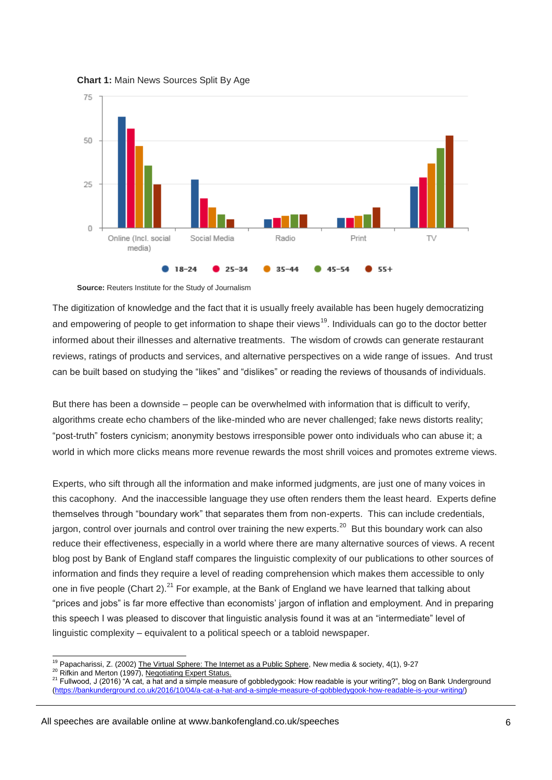**Chart 1:** Main News Sources Split By Age



**Source:** Reuters Institute for the Study of Journalism

The digitization of knowledge and the fact that it is usually freely available has been hugely democratizing and empowering of people to get information to shape their views<sup>19</sup>. Individuals can go to the doctor better informed about their illnesses and alternative treatments. The wisdom of crowds can generate restaurant reviews, ratings of products and services, and alternative perspectives on a wide range of issues. And trust can be built based on studying the "likes" and "dislikes" or reading the reviews of thousands of individuals.

But there has been a downside – people can be overwhelmed with information that is difficult to verify, algorithms create echo chambers of the like-minded who are never challenged; fake news distorts reality; "post-truth" fosters cynicism; anonymity bestows irresponsible power onto individuals who can abuse it; a world in which more clicks means more revenue rewards the most shrill voices and promotes extreme views.

Experts, who sift through all the information and make informed judgments, are just one of many voices in this cacophony. And the inaccessible language they use often renders them the least heard. Experts define themselves through "boundary work" that separates them from non-experts. This can include credentials, jargon, control over journals and control over training the new experts.<sup>20</sup> But this boundary work can also reduce their effectiveness, especially in a world where there are many alternative sources of views. A recent blog post by Bank of England staff compares the linguistic complexity of our publications to other sources of information and finds they require a level of reading comprehension which makes them accessible to only one in five people (Chart 2).<sup>21</sup> For example, at the Bank of England we have learned that talking about "prices and jobs" is far more effective than economists' jargon of inflation and employment. And in preparing this speech I was pleased to discover that linguistic analysis found it was at an "intermediate" level of linguistic complexity – equivalent to a political speech or a tabloid newspaper.

<sup>&</sup>lt;sup>19</sup> Papacharissi, Z. (2002) The Virtual Sphere: The Internet as a Public Sphere, New media & society, 4(1), 9-27

<sup>&</sup>lt;sup>20</sup> Rifkin and Merton (1997), Negotiating Expert Status.

<sup>&</sup>lt;sup>21</sup> Fullwood, J (2016) "A cat, a hat and a simple measure of gobbledygook: How readable is your writing?", blog on Bank Underground [\(https://bankunderground.co.uk/2016/10/04/a-cat-a-hat-and-a-simple-measure-of-gobbledygook-how-readable-is-your-writing/\)](https://bankunderground.co.uk/2016/10/04/a-cat-a-hat-and-a-simple-measure-of-gobbledygook-how-readable-is-your-writing/)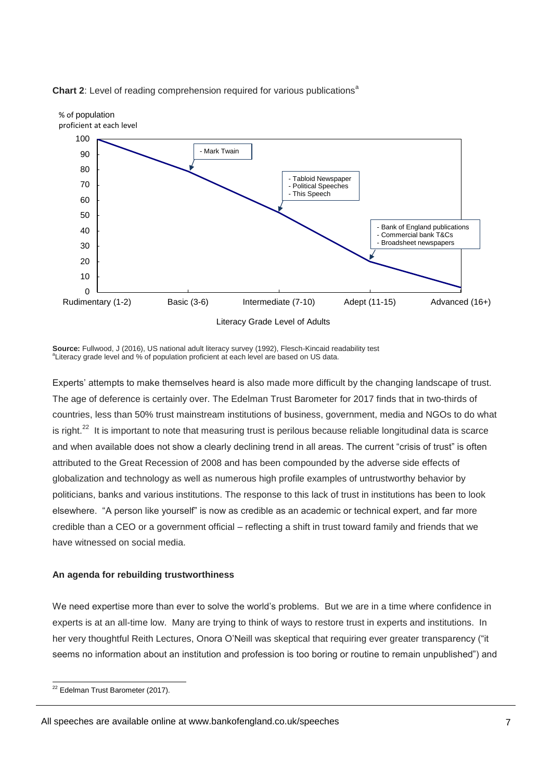



**Source:** Fullwood, J (2016), US national adult literacy survey (1992), Flesch-Kincaid readability test <sup>a</sup>Literacy grade level and % of population proficient at each level are based on US data.

Experts' attempts to make themselves heard is also made more difficult by the changing landscape of trust. The age of deference is certainly over. The Edelman Trust Barometer for 2017 finds that in two-thirds of countries, less than 50% trust mainstream institutions of business, government, media and NGOs to do what is right.<sup>22</sup> It is important to note that measuring trust is perilous because reliable longitudinal data is scarce and when available does not show a clearly declining trend in all areas. The current "crisis of trust" is often attributed to the Great Recession of 2008 and has been compounded by the adverse side effects of globalization and technology as well as numerous high profile examples of untrustworthy behavior by politicians, banks and various institutions. The response to this lack of trust in institutions has been to look elsewhere. "A person like yourself" is now as credible as an academic or technical expert, and far more credible than a CEO or a government official – reflecting a shift in trust toward family and friends that we have witnessed on social media.

## **An agenda for rebuilding trustworthiness**

We need expertise more than ever to solve the world's problems. But we are in a time where confidence in experts is at an all-time low. Many are trying to think of ways to restore trust in experts and institutions. In her very thoughtful Reith Lectures, Onora O'Neill was skeptical that requiring ever greater transparency ("it seems no information about an institution and profession is too boring or routine to remain unpublished") and

<sup>-</sup><sup>22</sup> Edelman Trust Barometer (2017).

All speeches are available online at www.bankofengland.co.uk/speeches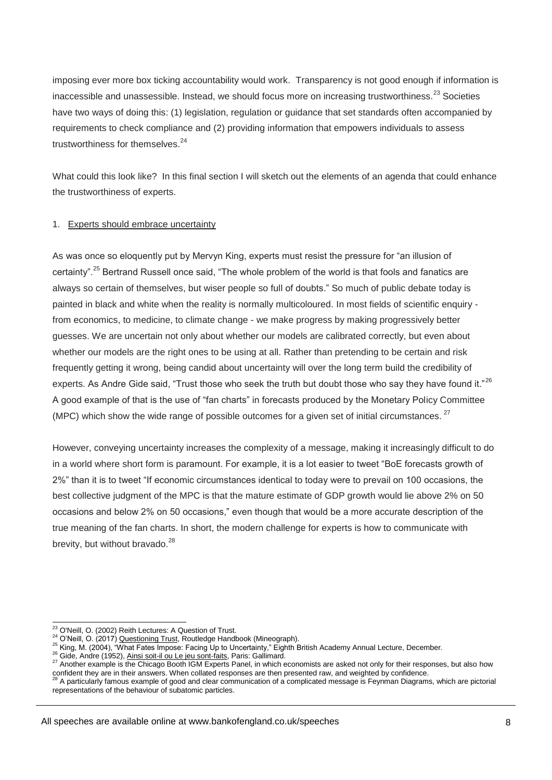imposing ever more box ticking accountability would work. Transparency is not good enough if information is inaccessible and unassessible. Instead, we should focus more on increasing trustworthiness.<sup>23</sup> Societies have two ways of doing this: (1) legislation, regulation or guidance that set standards often accompanied by requirements to check compliance and (2) providing information that empowers individuals to assess trustworthiness for themselves.<sup>24</sup>

What could this look like? In this final section I will sketch out the elements of an agenda that could enhance the trustworthiness of experts.

## 1. Experts should embrace uncertainty

As was once so eloquently put by Mervyn King, experts must resist the pressure for "an illusion of certainty".<sup>25</sup> Bertrand Russell once said, "The whole problem of the world is that fools and fanatics are always so certain of themselves, but wiser people so full of doubts." So much of public debate today is painted in black and white when the reality is normally multicoloured. In most fields of scientific enquiry from economics, to medicine, to climate change - we make progress by making progressively better guesses. We are uncertain not only about whether our models are calibrated correctly, but even about whether our models are the right ones to be using at all. Rather than pretending to be certain and risk frequently getting it wrong, being candid about uncertainty will over the long term build the credibility of experts. As Andre Gide said, "Trust those who seek the truth but doubt those who say they have found it."<sup>26</sup> A good example of that is the use of "fan charts" in forecasts produced by the Monetary Policy Committee (MPC) which show the wide range of possible outcomes for a given set of initial circumstances.  $27$ 

However, conveying uncertainty increases the complexity of a message, making it increasingly difficult to do in a world where short form is paramount. For example, it is a lot easier to tweet "BoE forecasts growth of 2%" than it is to tweet "If economic circumstances identical to today were to prevail on 100 occasions, the best collective judgment of the MPC is that the mature estimate of GDP growth would lie above 2% on 50 occasions and below 2% on 50 occasions," even though that would be a more accurate description of the true meaning of the fan charts. In short, the modern challenge for experts is how to communicate with brevity, but without bravado.<sup>28</sup>

<sup>-</sup><sup>23</sup> O'Neill, O. (2002) Reith Lectures: A Question of Trust.

<sup>&</sup>lt;sup>24</sup> O'Neill, O. (2017) Questioning Trust, Routledge Handbook (Mineograph).

<sup>25</sup> King, M. (2004), "What Fates Impose: Facing Up to Uncertainty," Eighth British Academy Annual Lecture, December.

<sup>26</sup> Gide, Andre (1952), Ainsi soit-il ou Le jeu sont-faits, Paris: Gallimard.

<sup>&</sup>lt;sup>27</sup> Another example is the Chicago Booth IGM Experts Panel, in which economists are asked not only for their responses, but also how confident they are in their answers. When collated responses are then presented raw, and weighted by confidence.

<sup>28</sup> A particularly famous example of good and clear communication of a complicated message is Feynman Diagrams, which are pictorial representations of the behaviour of subatomic particles.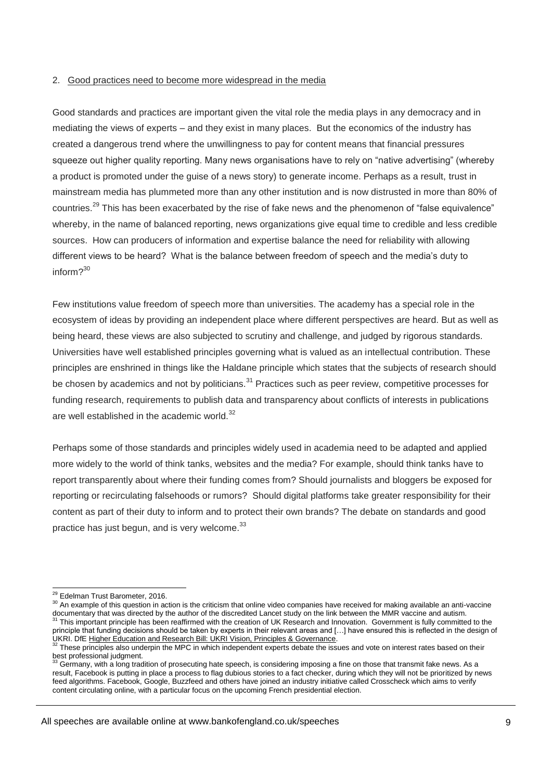### 2. Good practices need to become more widespread in the media

Good standards and practices are important given the vital role the media plays in any democracy and in mediating the views of experts – and they exist in many places. But the economics of the industry has created a dangerous trend where the unwillingness to pay for content means that financial pressures squeeze out higher quality reporting. Many news organisations have to rely on "native advertising" (whereby a product is promoted under the guise of a news story) to generate income. Perhaps as a result, trust in mainstream media has plummeted more than any other institution and is now distrusted in more than 80% of countries.<sup>29</sup> This has been exacerbated by the rise of fake news and the phenomenon of "false equivalence" whereby, in the name of balanced reporting, news organizations give equal time to credible and less credible sources. How can producers of information and expertise balance the need for reliability with allowing different views to be heard? What is the balance between freedom of speech and the media's duty to inform $2^{30}$ 

Few institutions value freedom of speech more than universities. The academy has a special role in the ecosystem of ideas by providing an independent place where different perspectives are heard. But as well as being heard, these views are also subjected to scrutiny and challenge, and judged by rigorous standards. Universities have well established principles governing what is valued as an intellectual contribution. These principles are enshrined in things like the Haldane principle which states that the subjects of research should be chosen by academics and not by politicians.<sup>31</sup> Practices such as peer review, competitive processes for funding research, requirements to publish data and transparency about conflicts of interests in publications are well established in the academic world.<sup>32</sup>

Perhaps some of those standards and principles widely used in academia need to be adapted and applied more widely to the world of think tanks, websites and the media? For example, should think tanks have to report transparently about where their funding comes from? Should journalists and bloggers be exposed for reporting or recirculating falsehoods or rumors? Should digital platforms take greater responsibility for their content as part of their duty to inform and to protect their own brands? The debate on standards and good practice has just begun, and is very welcome.<sup>33</sup>

<sup>-</sup><sup>29</sup> Edelman Trust Barometer, 2016.

<sup>&</sup>lt;sup>30</sup> An example of this question in action is the criticism that online video companies have received for making available an anti-vaccine documentary that was directed by the author of the discredited Lancet study on the link between the MMR vaccine and autism.  $31$  This important principle has been reaffirmed with the creation of UK Research and Innovation. Government is fully committed to the principle that funding decisions should be taken by experts in their relevant areas and […] have ensured this is reflected in the design of UKRI. DfE Higher Education and Research Bill: UKRI Vision, Principles & Governance.

 $32$  These principles also underpin the MPC in which independent experts debate the issues and vote on interest rates based on their best professional judgment.

<sup>33</sup> Germany, with a long tradition of prosecuting hate speech, is considering imposing a fine on those that transmit fake news. As a result, Facebook is putting in place a process to flag dubious stories to a fact checker, during which they will not be prioritized by news feed algorithms. Facebook, Google, Buzzfeed and others have joined an industry initiative called Crosscheck which aims to verify content circulating online, with a particular focus on the upcoming French presidential election.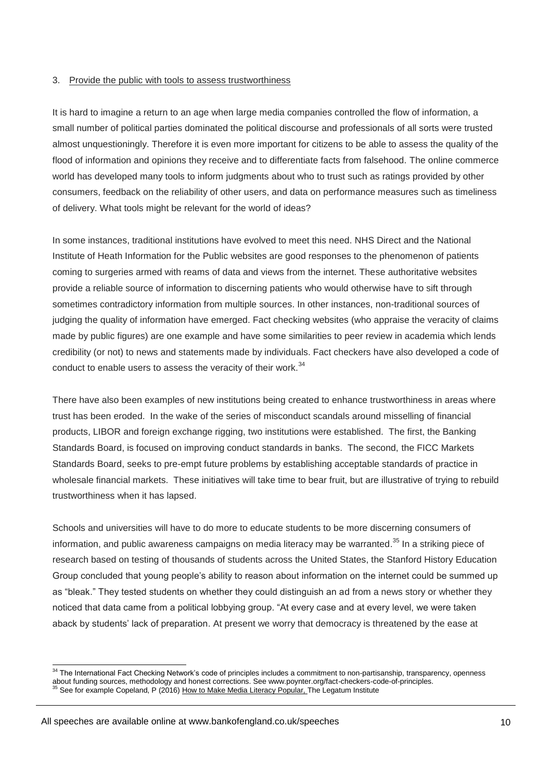#### 3. Provide the public with tools to assess trustworthiness

It is hard to imagine a return to an age when large media companies controlled the flow of information, a small number of political parties dominated the political discourse and professionals of all sorts were trusted almost unquestioningly. Therefore it is even more important for citizens to be able to assess the quality of the flood of information and opinions they receive and to differentiate facts from falsehood. The online commerce world has developed many tools to inform judgments about who to trust such as ratings provided by other consumers, feedback on the reliability of other users, and data on performance measures such as timeliness of delivery. What tools might be relevant for the world of ideas?

In some instances, traditional institutions have evolved to meet this need. NHS Direct and the National Institute of Heath Information for the Public websites are good responses to the phenomenon of patients coming to surgeries armed with reams of data and views from the internet. These authoritative websites provide a reliable source of information to discerning patients who would otherwise have to sift through sometimes contradictory information from multiple sources. In other instances, non-traditional sources of judging the quality of information have emerged. Fact checking websites (who appraise the veracity of claims made by public figures) are one example and have some similarities to peer review in academia which lends credibility (or not) to news and statements made by individuals. Fact checkers have also developed a code of conduct to enable users to assess the veracity of their work. $34$ 

There have also been examples of new institutions being created to enhance trustworthiness in areas where trust has been eroded. In the wake of the series of misconduct scandals around misselling of financial products, LIBOR and foreign exchange rigging, two institutions were established. The first, the Banking Standards Board, is focused on improving conduct standards in banks. The second, the FICC Markets Standards Board, seeks to pre-empt future problems by establishing acceptable standards of practice in wholesale financial markets. These initiatives will take time to bear fruit, but are illustrative of trying to rebuild trustworthiness when it has lapsed.

Schools and universities will have to do more to educate students to be more discerning consumers of information, and public awareness campaigns on media literacy may be warranted.<sup>35</sup> In a striking piece of research based on testing of thousands of students across the United States, the Stanford History Education Group concluded that young people's ability to reason about information on the internet could be summed up as "bleak." They tested students on whether they could distinguish an ad from a news story or whether they noticed that data came from a political lobbying group. "At every case and at every level, we were taken aback by students' lack of preparation. At present we worry that democracy is threatened by the ease at

<sup>&</sup>lt;sup>34</sup> The International Fact Checking Network's code of principles includes a commitment to non-partisanship, transparency, openness about funding sources, methodology and honest corrections. See www.poynter.org/fact-checkers-code-of-principles. <sup>35</sup> See for example Copeland, P (2016) How to Make Media Literacy Popular, The Legatum Institute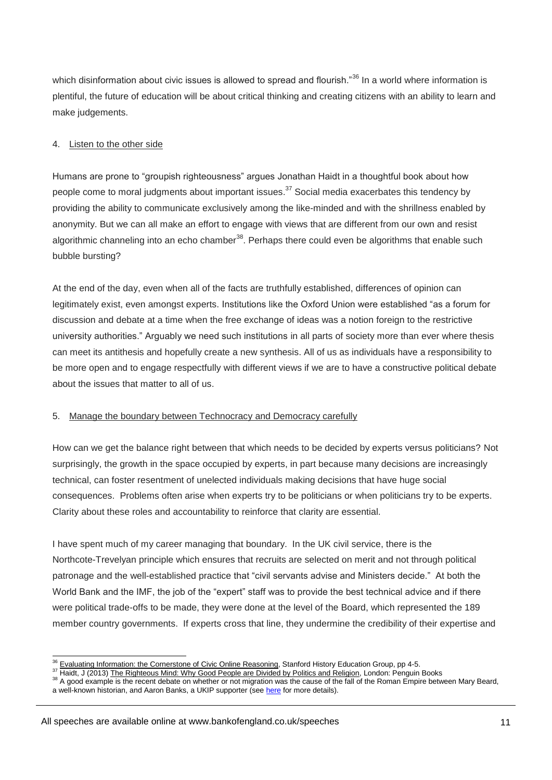which disinformation about civic issues is allowed to spread and flourish."<sup>36</sup> In a world where information is plentiful, the future of education will be about critical thinking and creating citizens with an ability to learn and make judgements.

### 4. Listen to the other side

Humans are prone to "groupish righteousness" argues Jonathan Haidt in a thoughtful book about how people come to moral judgments about important issues.<sup>37</sup> Social media exacerbates this tendency by providing the ability to communicate exclusively among the like-minded and with the shrillness enabled by anonymity. But we can all make an effort to engage with views that are different from our own and resist algorithmic channeling into an echo chamber $38$ . Perhaps there could even be algorithms that enable such bubble bursting?

At the end of the day, even when all of the facts are truthfully established, differences of opinion can legitimately exist, even amongst experts. Institutions like the Oxford Union were established "as a forum for discussion and debate at a time when the free exchange of ideas was a notion foreign to the restrictive university authorities." Arguably we need such institutions in all parts of society more than ever where thesis can meet its antithesis and hopefully create a new synthesis. All of us as individuals have a responsibility to be more open and to engage respectfully with different views if we are to have a constructive political debate about the issues that matter to all of us.

#### 5. Manage the boundary between Technocracy and Democracy carefully

How can we get the balance right between that which needs to be decided by experts versus politicians? Not surprisingly, the growth in the space occupied by experts, in part because many decisions are increasingly technical, can foster resentment of unelected individuals making decisions that have huge social consequences. Problems often arise when experts try to be politicians or when politicians try to be experts. Clarity about these roles and accountability to reinforce that clarity are essential.

I have spent much of my career managing that boundary. In the UK civil service, there is the Northcote-Trevelyan principle which ensures that recruits are selected on merit and not through political patronage and the well-established practice that "civil servants advise and Ministers decide." At both the World Bank and the IMF, the job of the "expert" staff was to provide the best technical advice and if there were political trade-offs to be made, they were done at the level of the Board, which represented the 189 member country governments. If experts cross that line, they undermine the credibility of their expertise and

<sup>&</sup>lt;sup>36</sup> Evaluating Information: the Cornerstone of Civic Online Reasoning, Stanford History Education Group, pp 4-5.

<sup>&</sup>lt;sup>37</sup> Haidt, J (2013) The Righteous Mind: Why Good People are Divided by Politics and Religion, London: Penguin Books

<sup>&</sup>lt;sup>38</sup> A good example is the recent debate on whether or not migration was the cause of the fall of the Roman Empire between Mary Beard, a well-known historian, and Aaron Banks, a UKIP supporter (see [here](https://www.theguardian.com/books/2017/jan/16/mary-beard-arron-banks-eu-ukip-twitter-rome) for more details).